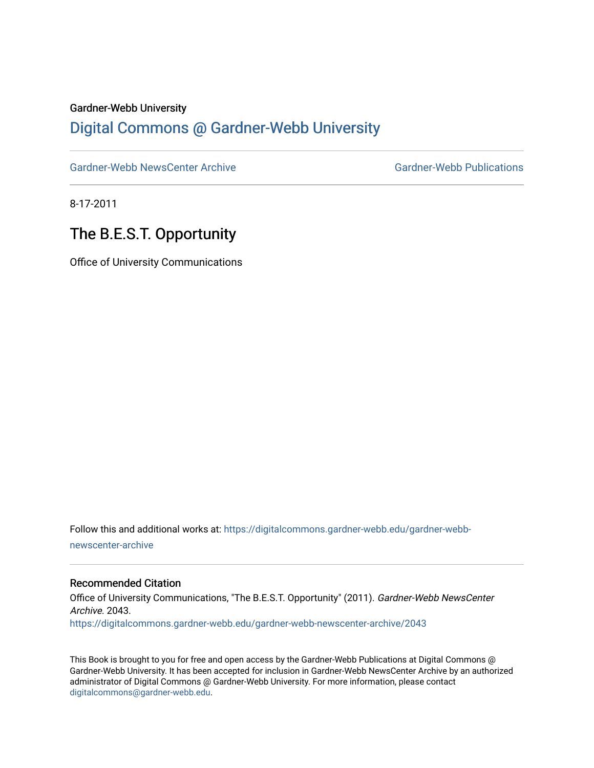#### Gardner-Webb University

### [Digital Commons @ Gardner-Webb University](https://digitalcommons.gardner-webb.edu/)

[Gardner-Webb NewsCenter Archive](https://digitalcommons.gardner-webb.edu/gardner-webb-newscenter-archive) Gardner-Webb Publications

8-17-2011

## The B.E.S.T. Opportunity

Office of University Communications

Follow this and additional works at: [https://digitalcommons.gardner-webb.edu/gardner-webb](https://digitalcommons.gardner-webb.edu/gardner-webb-newscenter-archive?utm_source=digitalcommons.gardner-webb.edu%2Fgardner-webb-newscenter-archive%2F2043&utm_medium=PDF&utm_campaign=PDFCoverPages)[newscenter-archive](https://digitalcommons.gardner-webb.edu/gardner-webb-newscenter-archive?utm_source=digitalcommons.gardner-webb.edu%2Fgardner-webb-newscenter-archive%2F2043&utm_medium=PDF&utm_campaign=PDFCoverPages)

### Recommended Citation

Office of University Communications, "The B.E.S.T. Opportunity" (2011). Gardner-Webb NewsCenter Archive. 2043. [https://digitalcommons.gardner-webb.edu/gardner-webb-newscenter-archive/2043](https://digitalcommons.gardner-webb.edu/gardner-webb-newscenter-archive/2043?utm_source=digitalcommons.gardner-webb.edu%2Fgardner-webb-newscenter-archive%2F2043&utm_medium=PDF&utm_campaign=PDFCoverPages) 

This Book is brought to you for free and open access by the Gardner-Webb Publications at Digital Commons @ Gardner-Webb University. It has been accepted for inclusion in Gardner-Webb NewsCenter Archive by an authorized administrator of Digital Commons @ Gardner-Webb University. For more information, please contact [digitalcommons@gardner-webb.edu](mailto:digitalcommons@gardner-webb.edu).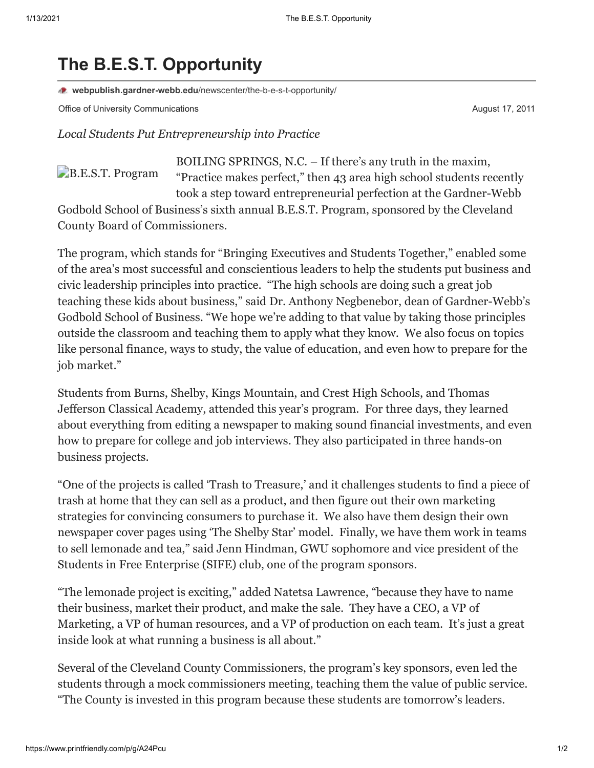# **The B.E.S.T. Opportunity**

**webpublish.gardner-webb.edu**[/newscenter/the-b-e-s-t-opportunity/](https://webpublish.gardner-webb.edu/newscenter/the-b-e-s-t-opportunity/)

Office of University Communications **August 17, 2011 August 17, 2011** 

[B.E.S.T. Program](http://152.44.63.252/newscenter/?attachment_id=871)

*Local Students Put Entrepreneurship into Practice*

BOILING SPRINGS, N.C. – If there's any truth in the maxim, "Practice makes perfect," then 43 area high school students recently took a step toward entrepreneurial perfection at the Gardner-Webb

Godbold School of Business's sixth annual B.E.S.T. Program, sponsored by the Cleveland County Board of Commissioners.

The program, which stands for "Bringing Executives and Students Together," enabled some of the area's most successful and conscientious leaders to help the students put business and civic leadership principles into practice. "The high schools are doing such a great job teaching these kids about business," said Dr. Anthony Negbenebor, dean of Gardner-Webb's Godbold School of Business. "We hope we're adding to that value by taking those principles outside the classroom and teaching them to apply what they know. We also focus on topics like personal finance, ways to study, the value of education, and even how to prepare for the job market."

Students from Burns, Shelby, Kings Mountain, and Crest High Schools, and Thomas Jefferson Classical Academy, attended this year's program. For three days, they learned about everything from editing a newspaper to making sound financial investments, and even how to prepare for college and job interviews. They also participated in three hands-on business projects.

"One of the projects is called 'Trash to Treasure,' and it challenges students to find a piece of trash at home that they can sell as a product, and then figure out their own marketing strategies for convincing consumers to purchase it. We also have them design their own newspaper cover pages using 'The Shelby Star' model. Finally, we have them work in teams to sell lemonade and tea," said Jenn Hindman, GWU sophomore and vice president of the Students in Free Enterprise (SIFE) club, one of the program sponsors.

"The lemonade project is exciting," added Natetsa Lawrence, "because they have to name their business, market their product, and make the sale. They have a CEO, a VP of Marketing, a VP of human resources, and a VP of production on each team. It's just a great inside look at what running a business is all about."

Several of the Cleveland County Commissioners, the program's key sponsors, even led the students through a mock commissioners meeting, teaching them the value of public service. "The County is invested in this program because these students are tomorrow's leaders.